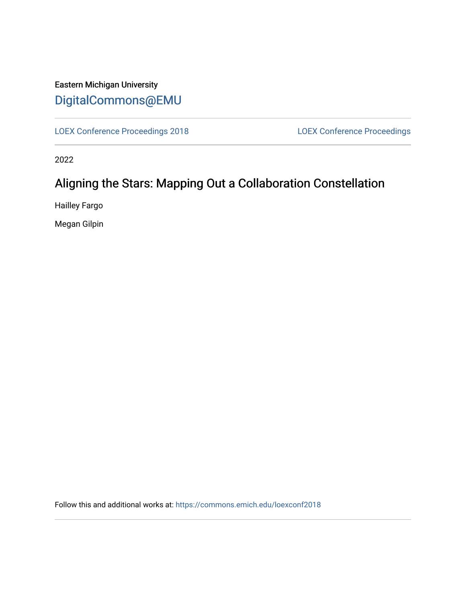# Eastern Michigan University [DigitalCommons@EMU](https://commons.emich.edu/)

[LOEX Conference Proceedings 2018](https://commons.emich.edu/loexconf2018) [LOEX Conference Proceedings](https://commons.emich.edu/loexconf) 

2022

# Aligning the Stars: Mapping Out a Collaboration Constellation

Hailley Fargo

Megan Gilpin

Follow this and additional works at: [https://commons.emich.edu/loexconf2018](https://commons.emich.edu/loexconf2018?utm_source=commons.emich.edu%2Floexconf2018%2F18&utm_medium=PDF&utm_campaign=PDFCoverPages)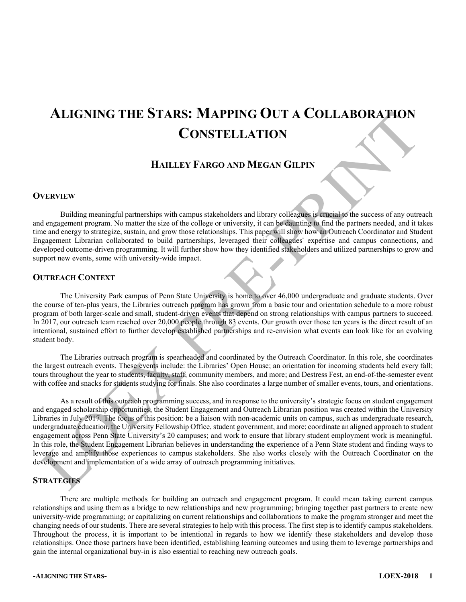# **ALIGNING THE STARS: MAPPING OUT A COLLABORATION CONSTELLATION**

### **HAILLEY FARGO AND MEGAN GILPIN**

#### **OVERVIEW**

Building meaningful partnerships with campus stakeholders and library colleagues is crucial to the success of any outreach and engagement program. No matter the size of the college or university, it can be daunting to find the partners needed, and it takes time and energy to strategize, sustain, and grow those relationships. This paper will show how an Outreach Coordinator and Student Engagement Librarian collaborated to build partnerships, leveraged their colleagues' expertise and campus connections, and developed outcome-driven programming. It will further show how they identified stakeholders and utilized partnerships to grow and support new events, some with university-wide impact.

#### **OUTREACH CONTEXT**

The University Park campus of Penn State University is home to over 46,000 undergraduate and graduate students. Over the course of ten-plus years, the Libraries outreach program has grown from a basic tour and orientation schedule to a more robust program of both larger-scale and small, student-driven events that depend on strong relationships with campus partners to succeed. In 2017, our outreach team reached over 20,000 people through 83 events. Our growth over those ten years is the direct result of an intentional, sustained effort to further develop established partnerships and re-envision what events can look like for an evolving student body.

The Libraries outreach program is spearheaded and coordinated by the Outreach Coordinator. In this role, she coordinates the largest outreach events. These events include: the Libraries' Open House; an orientation for incoming students held every fall; tours throughout the year to students, faculty, staff, community members, and more; and Destress Fest, an end-of-the-semester event with coffee and snacks for students studying for finals. She also coordinates a large number of smaller events, tours, and orientations.

As a result of this outreach programming success, and in response to the university's strategic focus on student engagement and engaged scholarship opportunities, the Student Engagement and Outreach Librarian position was created within the University Libraries in July 2017. The focus of this position: be a liaison with non-academic units on campus, such as undergraduate research, undergraduate education, the University Fellowship Office, student government, and more; coordinate an aligned approach to student engagement across Penn State University's 20 campuses; and work to ensure that library student employment work is meaningful. In this role, the Student Engagement Librarian believes in understanding the experience of a Penn State student and finding ways to leverage and amplify those experiences to campus stakeholders. She also works closely with the Outreach Coordinator on the development and implementation of a wide array of outreach programming initiatives.

#### **STRATEGIES**

There are multiple methods for building an outreach and engagement program. It could mean taking current campus relationships and using them as a bridge to new relationships and new programming; bringing together past partners to create new university-wide programming; or capitalizing on current relationships and collaborations to make the program stronger and meet the changing needs of our students. There are several strategies to help with this process. The first step is to identify campus stakeholders. Throughout the process, it is important to be intentional in regards to how we identify these stakeholders and develop those relationships. Once those partners have been identified, establishing learning outcomes and using them to leverage partnerships and gain the internal organizational buy-in is also essential to reaching new outreach goals.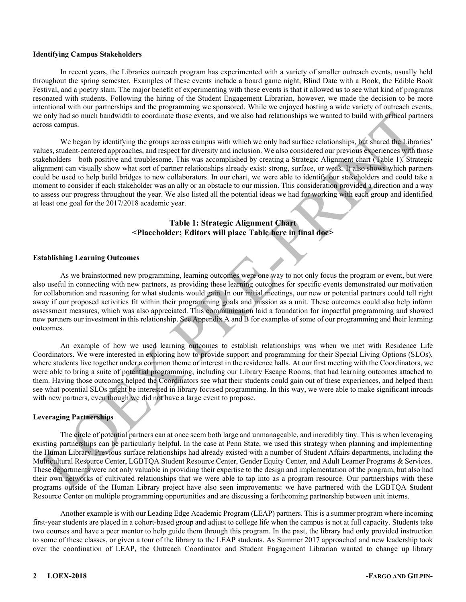#### **Identifying Campus Stakeholders**

In recent years, the Libraries outreach program has experimented with a variety of smaller outreach events, usually held throughout the spring semester. Examples of these events include a board game night, Blind Date with a Book, the Edible Book Festival, and a poetry slam. The major benefit of experimenting with these events is that it allowed us to see what kind of programs resonated with students. Following the hiring of the Student Engagement Librarian, however, we made the decision to be more intentional with our partnerships and the programming we sponsored. While we enjoyed hosting a wide variety of outreach events, we only had so much bandwidth to coordinate those events, and we also had relationships we wanted to build with critical partners across campus.

We began by identifying the groups across campus with which we only had surface relationships, but shared the Libraries' values, student-centered approaches, and respect for diversity and inclusion. We also considered our previous experiences with those stakeholders—both positive and troublesome. This was accomplished by creating a Strategic Alignment chart (Table 1). Strategic alignment can visually show what sort of partner relationships already exist: strong, surface, or weak. It also shows which partners could be used to help build bridges to new collaborators. In our chart, we were able to identify our stakeholders and could take a moment to consider if each stakeholder was an ally or an obstacle to our mission. This consideration provided a direction and a way to assess our progress throughout the year. We also listed all the potential ideas we had for working with each group and identified at least one goal for the 2017/2018 academic year.

#### **Table 1: Strategic Alignment Chart <Placeholder; Editors will place Table here in final doc>**

#### **Establishing Learning Outcomes**

As we brainstormed new programming, learning outcomes were one way to not only focus the program or event, but were also useful in connecting with new partners, as providing these learning outcomes for specific events demonstrated our motivation for collaboration and reasoning for what students would gain. In our initial meetings, our new or potential partners could tell right away if our proposed activities fit within their programming goals and mission as a unit. These outcomes could also help inform assessment measures, which was also appreciated. This communication laid a foundation for impactful programming and showed new partners our investment in this relationship. See Appendix A and B for examples of some of our programming and their learning outcomes.

An example of how we used learning outcomes to establish relationships was when we met with Residence Life Coordinators. We were interested in exploring how to provide support and programming for their Special Living Options (SLOs), where students live together under a common theme or interest in the residence halls. At our first meeting with the Coordinators, we were able to bring a suite of potential programming, including our Library Escape Rooms, that had learning outcomes attached to them. Having those outcomes helped the Coordinators see what their students could gain out of these experiences, and helped them see what potential SLOs might be interested in library focused programming. In this way, we were able to make significant inroads with new partners, even though we did not have a large event to propose.

#### **Leveraging Partnerships**

The circle of potential partners can at once seem both large and unmanageable, and incredibly tiny. This is when leveraging existing partnerships can be particularly helpful. In the case at Penn State, we used this strategy when planning and implementing the Human Library. Previous surface relationships had already existed with a number of Student Affairs departments, including the Multicultural Resource Center, LGBTQA Student Resource Center, Gender Equity Center, and Adult Learner Programs & Services. These departments were not only valuable in providing their expertise to the design and implementation of the program, but also had their own networks of cultivated relationships that we were able to tap into as a program resource. Our partnerships with these programs outside of the Human Library project have also seen improvements: we have partnered with the LGBTQA Student Resource Center on multiple programming opportunities and are discussing a forthcoming partnership between unit interns.

Another example is with our Leading Edge Academic Program (LEAP) partners. This is a summer program where incoming first-year students are placed in a cohort-based group and adjust to college life when the campus is not at full capacity. Students take two courses and have a peer mentor to help guide them through this program. In the past, the library had only provided instruction to some of these classes, or given a tour of the library to the LEAP students. As Summer 2017 approached and new leadership took over the coordination of LEAP, the Outreach Coordinator and Student Engagement Librarian wanted to change up library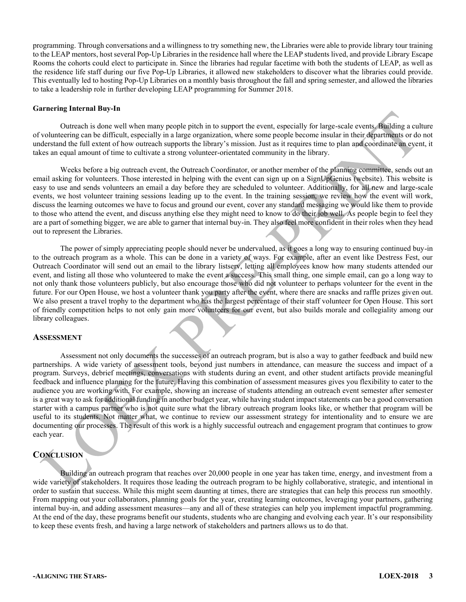programming. Through conversations and a willingness to try something new, the Libraries were able to provide library tour training to the LEAP mentors, host several Pop-Up Libraries in the residence hall where the LEAP students lived, and provide Library Escape Rooms the cohorts could elect to participate in. Since the libraries had regular facetime with both the students of LEAP, as well as the residence life staff during our five Pop-Up Libraries, it allowed new stakeholders to discover what the libraries could provide. This eventually led to hosting Pop-Up Libraries on a monthly basis throughout the fall and spring semester, and allowed the libraries to take a leadership role in further developing LEAP programming for Summer 2018.

#### **Garnering Internal Buy-In**

Outreach is done well when many people pitch in to support the event, especially for large-scale events. Building a culture of volunteering can be difficult, especially in a large organization, where some people become insular in their departments or do not understand the full extent of how outreach supports the library's mission. Just as it requires time to plan and coordinate an event, it takes an equal amount of time to cultivate a strong volunteer-orientated community in the library.

Weeks before a big outreach event, the Outreach Coordinator, or another member of the planning committee, sends out an email asking for volunteers. Those interested in helping with the event can sign up on a SignUpGenius (website). This website is easy to use and sends volunteers an email a day before they are scheduled to volunteer. Additionally, for all new and large-scale events, we host volunteer training sessions leading up to the event. In the training session, we review how the event will work, discuss the learning outcomes we have to focus and ground our event, cover any standard messaging we would like them to provide to those who attend the event, and discuss anything else they might need to know to do their job well. As people begin to feel they are a part of something bigger, we are able to garner that internal buy-in. They also feel more confident in their roles when they head out to represent the Libraries.

The power of simply appreciating people should never be undervalued, as it goes a long way to ensuring continued buy-in to the outreach program as a whole. This can be done in a variety of ways. For example, after an event like Destress Fest, our Outreach Coordinator will send out an email to the library listserv, letting all employees know how many students attended our event, and listing all those who volunteered to make the event a success. This small thing, one simple email, can go a long way to not only thank those volunteers publicly, but also encourage those who did not volunteer to perhaps volunteer for the event in the future. For our Open House, we host a volunteer thank you party after the event, where there are snacks and raffle prizes given out. We also present a travel trophy to the department who has the largest percentage of their staff volunteer for Open House. This sort of friendly competition helps to not only gain more volunteers for our event, but also builds morale and collegiality among our library colleagues.

#### **ASSESSMENT**

Assessment not only documents the successes of an outreach program, but is also a way to gather feedback and build new partnerships. A wide variety of assessment tools, beyond just numbers in attendance, can measure the success and impact of a program. Surveys, debrief meetings, conversations with students during an event, and other student artifacts provide meaningful feedback and influence planning for the future. Having this combination of assessment measures gives you flexibility to cater to the audience you are working with. For example, showing an increase of students attending an outreach event semester after semester is a great way to ask for additional funding in another budget year, while having student impact statements can be a good conversation starter with a campus partner who is not quite sure what the library outreach program looks like, or whether that program will be useful to its students. Not matter what, we continue to review our assessment strategy for intentionality and to ensure we are documenting our processes. The result of this work is a highly successful outreach and engagement program that continues to grow each year.

#### **CONCLUSION**

Building an outreach program that reaches over 20,000 people in one year has taken time, energy, and investment from a wide variety of stakeholders. It requires those leading the outreach program to be highly collaborative, strategic, and intentional in order to sustain that success. While this might seem daunting at times, there are strategies that can help this process run smoothly. From mapping out your collaborators, planning goals for the year, creating learning outcomes, leveraging your partners, gathering internal buy-in, and adding assessment measures—any and all of these strategies can help you implement impactful programming. At the end of the day, these programs benefit our students, students who are changing and evolving each year. It's our responsibility to keep these events fresh, and having a large network of stakeholders and partners allows us to do that.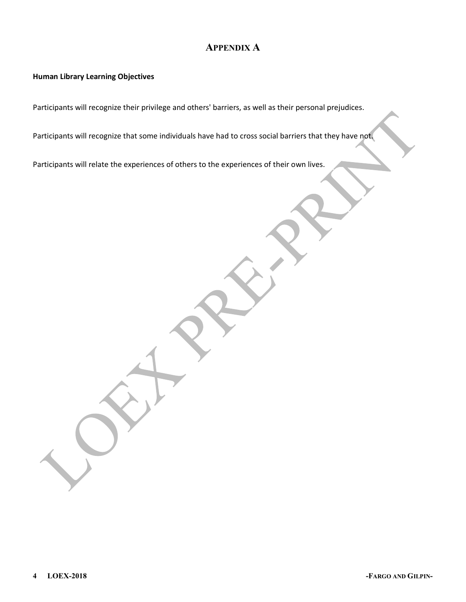### **APPENDIX A**

### **Human Library Learning Objectives**

Participants will recognize their privilege and others' barriers, as well as their personal prejudices.

Participants will recognize that some individuals have had to cross social barriers that they have not.

Participants will relate the experiences of others to the experiences of their own lives.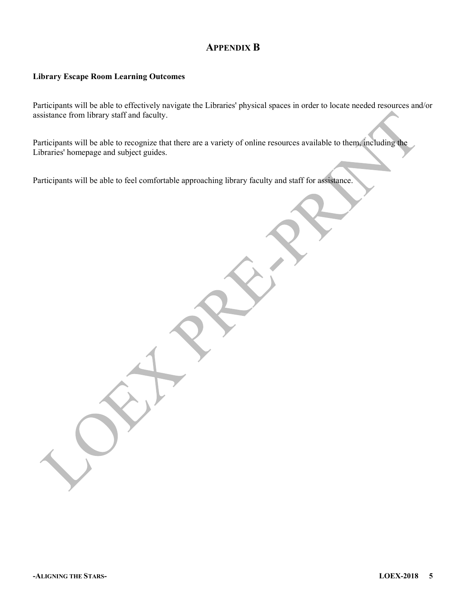### **APPENDIX B**

#### **Library Escape Room Learning Outcomes**

Participants will be able to effectively navigate the Libraries' physical spaces in order to locate needed resources and/or assistance from library staff and faculty.

Participants will be able to recognize that there are a variety of online resources available to them, including the Libraries' homepage and subject guides.

Participants will be able to feel comfortable approaching library faculty and staff for assistance.